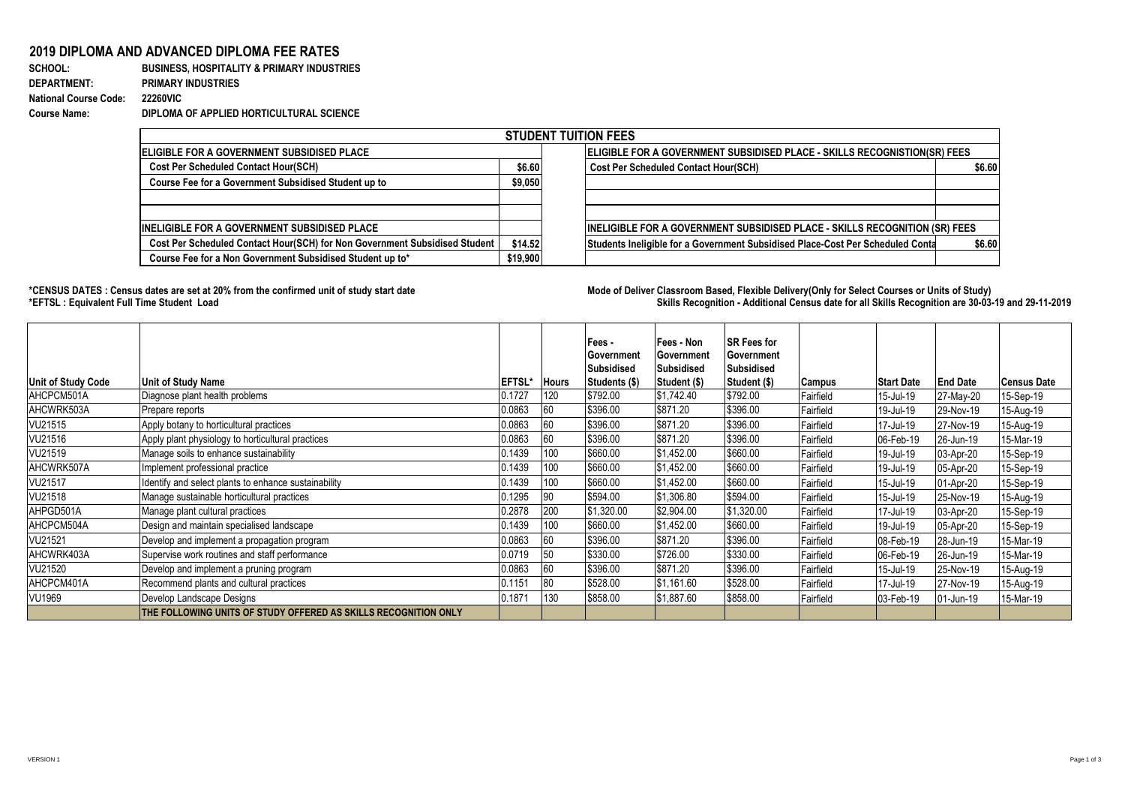## **2019 DIPLOMA AND ADVANCED DIPLOMA FEE RATES**

## **SCHOOL: BUSINESS, HOSPITALITY & PRIMARY INDUSTRIES DEPARTMENT: PRIMARY INDUSTRIES National Course Code: 22260VIC Course Name: DIPLOMA OF APPLIED HORTICULTURAL SCIENCE**

| <b>STUDENT TUITION FEES</b>                                                |          |  |                                                                                    |        |  |  |  |  |  |
|----------------------------------------------------------------------------|----------|--|------------------------------------------------------------------------------------|--------|--|--|--|--|--|
| <b>IELIGIBLE FOR A GOVERNMENT SUBSIDISED PLACE</b>                         |          |  | <b>ELIGIBLE FOR A GOVERNMENT SUBSIDISED PLACE - SKILLS RECOGNISTION(SR) FEES</b>   |        |  |  |  |  |  |
| <b>Cost Per Scheduled Contact Hour(SCH)</b>                                | \$6.60   |  | <b>Cost Per Scheduled Contact Hour(SCH)</b>                                        | \$6.60 |  |  |  |  |  |
| Course Fee for a Government Subsidised Student up to                       | \$9,050  |  |                                                                                    |        |  |  |  |  |  |
|                                                                            |          |  |                                                                                    |        |  |  |  |  |  |
|                                                                            |          |  |                                                                                    |        |  |  |  |  |  |
| INELIGIBLE FOR A GOVERNMENT SUBSIDISED PLACE                               |          |  | <b>INELIGIBLE FOR A GOVERNMENT SUBSIDISED PLACE - SKILLS RECOGNITION (SR) FEES</b> |        |  |  |  |  |  |
| Cost Per Scheduled Contact Hour(SCH) for Non Government Subsidised Student | \$14.52  |  | Students Ineligible for a Government Subsidised Place-Cost Per Scheduled Conta     | \$6.60 |  |  |  |  |  |
| Course Fee for a Non Government Subsidised Student up to*                  | \$19,900 |  |                                                                                    |        |  |  |  |  |  |

**\*CENSUS DATES : Census dates are set at 20% from the confirmed unit of study start date Mode of Delivery:Classroom Based, Flexible Delivery(Only for Select Courses or Units of Study) \*EFTSL : Equivalent Full Time Student Load Skills Recognition - Additional Census date for all Skills Recognition are 30-03-19 and 29-11-2019** 

| <b>Unit of Study Code</b> | Unit of Study Name                                              | <b>EFTSL*</b> | <b>Hours</b> | Fees -<br>Government<br><b>Subsidised</b><br>Students (\$) | lFees - Non<br>Government<br>Subsidised<br>Student (\$) | <b>SR Fees for</b><br>lGovernment<br>Subsidised<br>Student (\$) | Campus    | <b>Start Date</b> | <b>End Date</b> | Census Date |
|---------------------------|-----------------------------------------------------------------|---------------|--------------|------------------------------------------------------------|---------------------------------------------------------|-----------------------------------------------------------------|-----------|-------------------|-----------------|-------------|
| AHCPCM501A                | Diagnose plant health problems                                  | 0.1727        | 120          | \$792.00                                                   | \$1,742.40                                              | \$792.00                                                        | Fairfield | 15-Jul-19         | 27-May-20       | 15-Sep-19   |
| AHCWRK503A                | Prepare reports                                                 | 0.0863        | 60           | \$396.00                                                   | \$871.20                                                | \$396.00                                                        | Fairfield | 19-Jul-19         | 29-Nov-19       | 15-Aug-19   |
| VU21515                   | Apply botany to horticultural practices                         | 0.0863        | 60           | \$396.00                                                   | \$871.20                                                | \$396.00                                                        | Fairfield | 17-Jul-19         | 27-Nov-19       | 15-Aug-19   |
| VU21516                   | Apply plant physiology to horticultural practices               | 0.0863        | 60           | \$396.00                                                   | \$871.20                                                | \$396.00                                                        | Fairfield | 06-Feb-19         | 26-Jun-19       | 15-Mar-19   |
| VU21519                   | Manage soils to enhance sustainability                          | 0.1439        | 100          | \$660.00                                                   | \$1,452.00                                              | \$660.00                                                        | Fairfield | 19-Jul-19         | 03-Apr-20       | 15-Sep-19   |
| AHCWRK507A                | Implement professional practice                                 | 0.1439        | 100          | \$660.00                                                   | \$1,452.00                                              | \$660.00                                                        | Fairfield | 19-Jul-19         | 05-Apr-20       | 15-Sep-19   |
| VU21517                   | Identify and select plants to enhance sustainability            | 0.1439        | 100          | \$660.00                                                   | \$1,452.00                                              | \$660.00                                                        | Fairfield | 15-Jul-19         | 01-Apr-20       | 15-Sep-19   |
| VU21518                   | Manage sustainable horticultural practices                      | 0.1295        | 90           | \$594.00                                                   | \$1,306.80                                              | \$594.00                                                        | Fairfield | 15-Jul-19         | 25-Nov-19       | 15-Aug-19   |
| AHPGD501A                 | Manage plant cultural practices                                 | 0.2878        | 200          | \$1,320.00                                                 | \$2,904.00                                              | \$1,320.00                                                      | Fairfield | 17-Jul-19         | 03-Apr-20       | 15-Sep-19   |
| AHCPCM504A                | Design and maintain specialised landscape                       | 0.1439        | 100          | \$660.00                                                   | \$1,452.00                                              | \$660.00                                                        | Fairfield | 19-Jul-19         | 05-Apr-20       | 15-Sep-19   |
| VU21521                   | Develop and implement a propagation program                     | 0.0863        | 60           | \$396.00                                                   | \$871.20                                                | \$396.00                                                        | Fairfield | 08-Feb-19         | 28-Jun-19       | 15-Mar-19   |
| AHCWRK403A                | Supervise work routines and staff performance                   | 0.0719        | 50           | \$330.00                                                   | \$726.00                                                | \$330.00                                                        | Fairfield | 06-Feb-19         | 26-Jun-19       | 15-Mar-19   |
| VU21520                   | Develop and implement a pruning program                         | 0.0863        | 60           | \$396.00                                                   | \$871.20                                                | \$396.00                                                        | Fairfield | 15-Jul-19         | 25-Nov-19       | 15-Aug-19   |
| AHCPCM401A                | Recommend plants and cultural practices                         | 0.1151        | 80           | \$528.00                                                   | \$1,161.60                                              | \$528.00                                                        | Fairfield | 17-Jul-19         | 27-Nov-19       | 15-Aug-19   |
| <b>VU1969</b>             | Develop Landscape Designs                                       | 0.1871        | 130          | \$858.00                                                   | \$1,887.60                                              | \$858.00                                                        | Fairfield | 03-Feb-19         | 01-Jun-19       | 15-Mar-19   |
|                           | THE FOLLOWING UNITS OF STUDY OFFERED AS SKILLS RECOGNITION ONLY |               |              |                                                            |                                                         |                                                                 |           |                   |                 |             |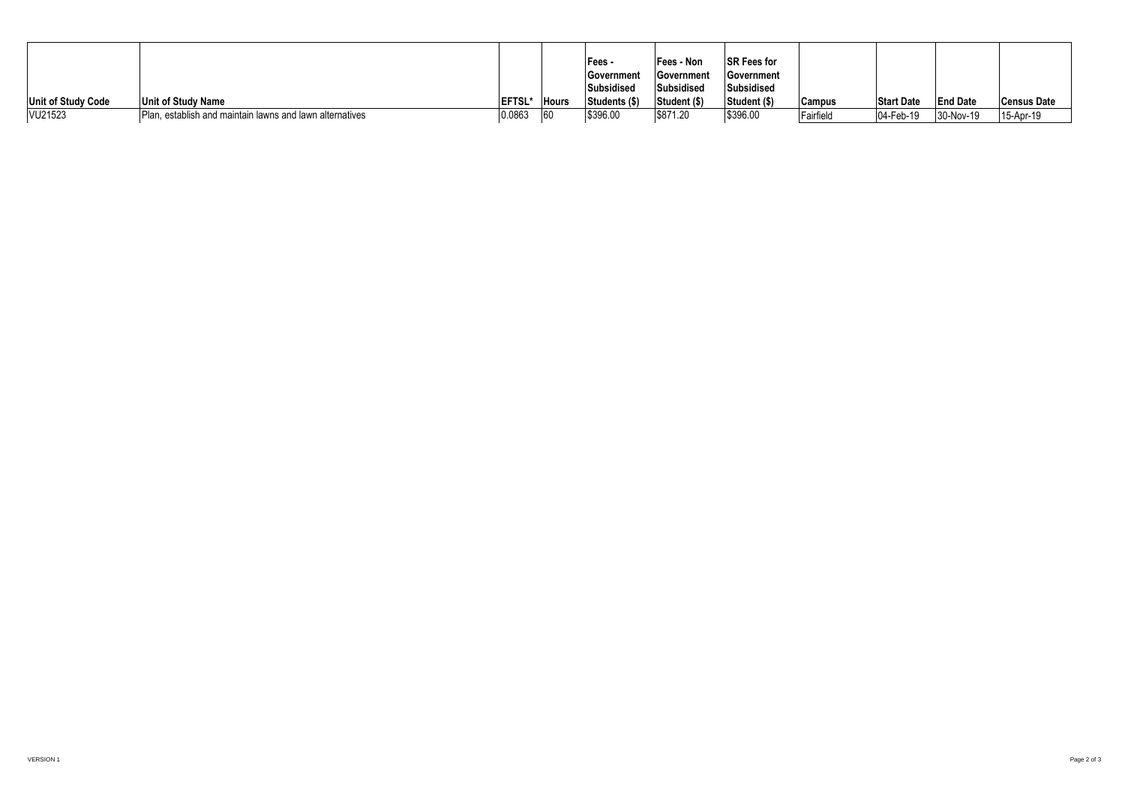|                           |                                                          |                |              | Fees -        | Fees - Non        | <b>ISR Fees for</b> |               |                   |                 |                    |
|---------------------------|----------------------------------------------------------|----------------|--------------|---------------|-------------------|---------------------|---------------|-------------------|-----------------|--------------------|
|                           |                                                          |                |              | Government    | <b>Government</b> | <b>IGovernment</b>  |               |                   |                 |                    |
|                           |                                                          |                |              | Subsidised    | Subsidised        | Subsidised          |               |                   |                 |                    |
| <b>Unit of Study Code</b> | Unit of Study Name                                       | <b>IEFTSL*</b> | <b>Hours</b> | Students (\$) | Student (\$)      | Student (\$)        | <b>Campus</b> | <b>Start Date</b> | <b>End Date</b> | <b>Census Date</b> |
| VU21523                   | Plan, establish and maintain lawns and lawn alternatives | 0.0863         |              | \$396.00      | \$871.20          | \$396.00            | Fairfield     | 04-Feb-19         | 30-Nov-19       | 15-Apr-19          |